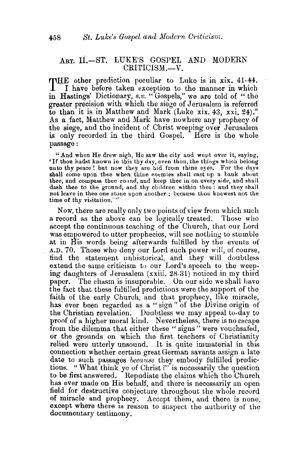## ART. II.-ST. LUKE'S GOSPEL AND MODERN CRITICISM.-V.

THE other prediction peculiar to Luke is in xix. 41-44.<br>I have before taken exception to the manner in which<br>I discuss pictors are the control in in Hastings' Dictionary, *s.v.* "Gospels," we are told of " the greater precision with which the siege of Jerusalem is referred to than it is in Matthew and Mark (Luke xix. 43, xxi. 24)." As a fact, Matthew and Mark have nowhere any prophecy of the siege, and the incident of Christ weeping over Jerusalem is only recorded in the third Gospel. Here is the whole passage:

"And when He drew nigh, He saw the city and wept over it, saying, 'If thou hadst known in this thy day, even thou, the thiugs which belong unto thy peace! but now they are hid from thine eyes. For the days shall come upon thee when thine enemies shall cast up a bank about thee, and compass thee round, and keep thee in on every side, and shall dash thee to the ground, and thy children within thee : and they shall not leave in thee one stoue upon another; because thou knewest not the time of thy visitation.'"

Now, there are really only two points of view from which such a record as the above can be logically treated. Those who accept the continuous teaching of the Church, that our Lord was empowered to utter prophecies, will see nothing to stumble at in His words being afterwards fulfilled by the events of A.D. 70. Those who deny our Lord such power will, of comse, find the statement unhistorical, and they will doubtless extend the same criticism to our Lord's speech to the weeping daughters of Jerusalem (xxiii. 28-31) noticed in my third paper. The chasm is insuperable. On our side we shall have the fact that these fulfilled predictions were the support of the faith of the early Church, and that prophecy, like miracle, has ever been regarded as a "sign" of the Divine origin of the Christian revelation. Doubtless we may appeal to-day to proof of a higher moral kind. Nevertheless, there is no escape from the dilemma that either these " signs" were vouchsafed, or the grounds on which the first teachers of Christianity relied were utterly unsound. It is quite immaterial in this connection whether certain great German savants assign a late date to such passages *because* they embody fulfilled predictions. "What think ye of Christ?" is necessarily the question to be first answered. Repudiate the claims which the Church has ever made on His behalf, and there is necessarily an open field for destructive conjecture throughout the whole record of miracle and prophecy. Accept them, and there is none, except where there is reason to suspect the authority of the documentary testimony.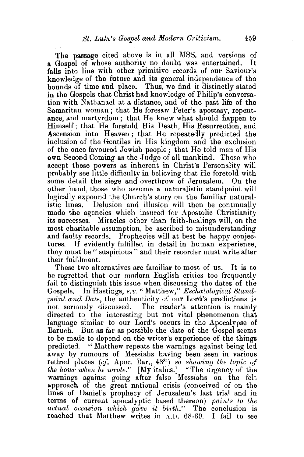The passage cited above is in all MSS. and versions of a Gospel of whose authority no doubt was entertained. It falls into line with other primitive records of our Saviour's knowledge of the future and its general independence of the bounds of time and place. Thus, we find it distinctly stated in the Gospels that Christ had knowledge of Philip's conversation with Nathanael at a distance, and of the past life of the Samaritan woman ; that He foresaw Peter's apostasy, repentance, and martyrdom; that He knew what should happen to Himself; that He foretold His Death, His Resurrection, and Ascension into Heaven; that He repeatedly predicted the inclusion of the Gentiles in His kingdom and the exclusion of the once favoured Jewish people; that He told men of His own Second Coming as the Judge of all mankind. Those who accept these powers as inherent in Christ's Personality will probably see little difficulty in believing that He foretold with some detail the siege and overthrow of Jerusalem. On the other hand, those who assume a naturalistic standpoint will logically expound the Church's story on the familiar naturalistic lines. Delusion and illusion will then be continually made the agencies which insured for Apostolic Christianity its successes. Miracles other than faith-healings will, on the most charitable assumption, be ascribed to misunderstanding and faulty records. Prophecies will at best be happy conjectures. If evidently fultilled in detail in human experience, they must be" suspicious" and their recorder must write after their fulfilment.

These two alternatives are familiar to most of us. It is to be regretted that our modern English critics too frequently fail to distinguish tbis issue when discussing the dates of the Gospels. In Hastings, *s.v.* "Matthew," *Eschatological Standpoint and Date,* the authenticity of our Lord's predictions is not seriously discussed. The reader's attention is mainly directed to the interesting but not vital phenomenon that language similar to our Lord's occurs in the Apocalypse of Baruch. But as far as possible the date of the Gospel seems to be made to depend on the writer's experience of the things predicted. "Matthew repeats the warnings against being led away by rumours of Messiahs having been seen in various retired places *(cf.* Apoc. Bar., 4834) *so showing the topic of the hour when he wrote."* [My italics.] "The urgency of the warnings against going after false Messiahs on the felt approach of the great national crisis (conceived of on the lines of Daniel's prophecy of Jerusalem's last trial and in terms of current apocalyptic based thereon) *points to the actual occasion wll'ich gave 'it birth."* The conclusion is reached that Matthew writes in  $A.D. 68-69.$  I fail to see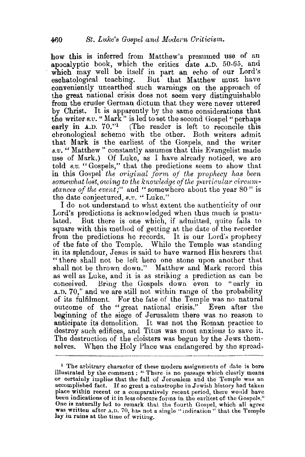how this is inferred from Matthew's presumed use of an apocalyptic book, which the critics date A.D. 50-65, and which may well be itself in part an echo of our Lord's eschatological teaching. But that Matthew must have conveniently unearthed such warnings on the approach of the great national crisis does not seem very distinguishable from the cruder German dictum that they were never uttered by Christ. It is apparently by the same considerations that the writer *s.v.* "Mark" is led to set the second Gospel "perhaps early in A.D. 70."<sup>1</sup> (The reader is left to reconcile this chronological scheme with the other. Both writers admit that Mark is the earliest of the Gospels, and the writer *s.v.* " Matthew " constantly assumes that this Evangelist made use of Mark.) Of Luke, as I have already noticed, we are told *s.v.* "Gospels," that the predictions seem to show that in this Gospel *the original form of the prophecy has been* somewhat lost, owing to the knowledge of the particular circum*stances of the event;''* and "somewhere about the year 80" is the date conjectured, *s.v.* ·• Luke."

I do not understand to what extent the authenticity of our Lord's predictions is acknowledged when thus much is postulated. But there is one which, if admitted, quite fails to square with this method of getting at the date of the recorder from the predictions he records. It is our Lord's prophecy of the fate of the Temple. While the Temple was standing in its splendour, Jesus is said to have warned His bearers that " there shall not be left here one stone upon another that shall not be thrown down." Matthew and Mark record this as well as Luke, and it is as striking a prediction as can be conceived. Bring the Gospels down even to "early in A.D. 70," and we are still not within range of the probability of its fulfilment. For the fate of the Temple was no natural outcome of the "great national crisis." Even after the beginning of the siege of Jerusalem there was no reason to anticipate its demolition. It was not the Roman practice to destroy such edifices, and Titus was most anxious to save it. The destruction of the cloisters was begun by the Jews themselves. When the Holy Place was endangered by the spread-

<sup>&</sup>lt;sup>1</sup> The arbitrary character of these modern assignments of date is here illustrated by the comment: "There is no passage which clearly means or certainly implies that the fall of Jerusalem and the Temple was an accomplished fact. If so great a catastrophe in Jewish history had taken place within recent or a comparatively recent period, there would have been indications of it in less obscure forms in the earliest of the Gospels." One is naturally led to remark that the fourth Gospel, which all agree was written after A.D. 70, has not a single "indication" that the Temple lay in ruins at the time of writing.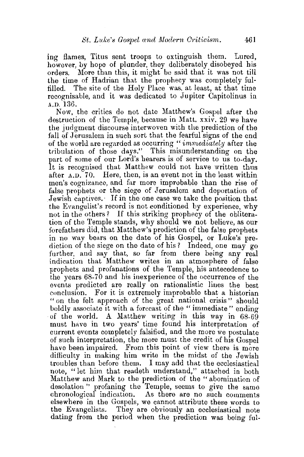ing flames, Titus sent troops to extinguish them. Lured, however, by hope of plunder, they deliberately disobeyed his orders. More than this, it might be said that it was not till the time of Hadrian that the prophecy was completely fulfilled. The site of the Holy Place was. at least, at that time recognisable, and it was dedicated to Jupiter Capitolinus in A.D. 136.

Now, the critics do not date Matthew's Gospel after the destruction of the Temple, because in Matt. xxiv. 29 we have the judgment discourse interwoven with the prediction of the fall of Jerusalem in such sort that the fearful signs of the end of the world are regarded as occurring *"immed,iately* after the tribulation of those days." This misunderstanding on the part of some of our Lord's hearers is of service to us to-day. It is recognised that Matthew could not have written thus after A.D. 70. Here, then, is an event not in the least within men's cognizance, and far more improbable than the rise of false prophets or the siege of Jerusalem and deportation of Jewish captives. If in the one case we take the position that the Evangelist's record is not conditioned by experience, why not in the others ? If this striking prophecy of the obliteration of the Temple stands, why should we not believe, as our forefathers did, that Matthew's prediction of the false prophets in no way bears on the date of his Gospel, or Luke's prediction of the siege on the date of his? Indeed, one may go further, and say that, so far from there being any real indication that Matthew writes in an atmosphere of false prophets and profanations of the Temple, his antecedence to the years 68-70 and his inexperience of the occurrence of the events predicted are really on rationalistic lines the best conclusion. For it is extremely improbable that a historian " on the felt approach of the great national crisis" should boldly associate it with a forecast of the "immediate" ending of the world. A Matthew writing in this way in  $68-69$ must have in two years' time found his interpretation of current events completely falsified, and the more we postulate of such interpretation, the more must the credit of h1s Gospel have been impaired. From this point of view there is more difficulty in making him write in the midst of the Jewish troubles than before them. I may add that the ecclesiastical note, " let him that readeth understand," attached in both Matthew and Mark to the prediction of the "abomination of desolation " profaning the Temple, seems to give the same chronological indication. As there are no such comments elsewhere in the Gospels, we cannot attribute these words to the Evangelists. They are obviously an ecclesiastical note dating from the period when the prediction was being ful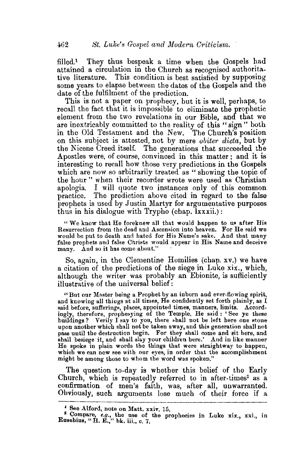filled.1 They thus bespeak a time when the Gospels had attained a circulation in the Church as recognised authoritative literature. This condition is best satisfied by supposing some years to elapse between the dates of the Gospels and the date of the fulfilment of the prediction.

This is not a paper on prophecy, but it is well, perhaps, to recall the fact that it is impossible to eliminate the prophetic element from the two revelations in our Bible, and that we are inextricably committed to the reality of this "sign " both in the Old Testament and the New. The Church's position on this subject is attested, not by mere *obiter dicta,* but by the Nicene Creed itself. The generations that succeeded the Apostles were, of course, convinced in this matter; and it is interesting to recall how those very predictions in the Gospels which are now so arbitrarily treated as "showing the topic of the hour" when their recorder wrote were used as Christian apologia. I will quote two instances only of this common practice. The prediction above cited in regard to the false prophets is used by Justin Martyr for argumentative purposes thus in his dialogue with Trypho (chap. lxxxii.):

"We know that He foreknew all that would happen to us after His Resurrection from the dead and Ascension into heaven. For He said we would be put to death and bated for His Name's 8ake. And that many false prophets and false Christs would appear in His Name and deceive many. And so it has come about."

So, again, in the Clementine Homilies (chap. xv.) we have a citation of the predictions of the siege in Luke xix., which, although the writer was probably an Ebionite, is sufficiently illustrative of the universal belief:

"But our Master being a Prophet by an inborn and ever-flowing spirit, and knowing all things at all times, He confidently set forth plainly, as  $I$ said before, suffering», places, appointed times, manners, limits. Accordingly, therefore, prophesying of the Temple, He said : 'See ye these buildings? Verily I say to you, there shall not be left here one stone upon another which shall not be taken away, and this generation shall not pass until the destruction begin. For they shall come and sit here, and shall besiege it, and shall slay your children here.' And in like manner<br>He spoke in plain words the things that were straightway to happen, which we can now see with our eyes, in order that the accomplishment might be among those to whom the word was spoken."

The question to-day is whether this belief of the Early Church, which is repeatedly referred to in after-times<sup>2</sup> as a confirmation of men's faith, was, after all, unwarranted. Obviously, such arguments lose much of their force if a

<sup>1</sup> See Alford, note on Matt. xxiv. 15.

<sup>&</sup>lt;sup>2</sup> Compare, *e.g.*, the use of the prophecies in Luke xix., xxi., in Eusebius, "H. E.," bk. iii., c. 7.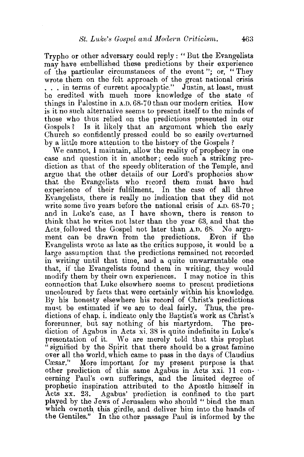Trypho or other adversary could reply: "But the Evangelists may have embellished these predictions by their experience of the particular circumstances of the event"; or, "They wrote them on the felt approach of the great national crisis ... in terms of current apocalyptic." Justin, at least, must be credited with much more knowledge of the state of things in Palestine in A.D. 68-70 than our modern critics. How is it no such alternative seems to present itself to the minds of those who thus relied on the predictions presented in our Gospels? Is it likely that an argument which the early Church so confidently pressed could be so easily overturned by a little more attention to the history of the Gospels ?

We cannot, I maintain, allow the reality of prophecy in one case and question it in another; cede such a striking prediction as that of the speedy obliteration of the Temple, and argue that the other details of our Lord's prophecies show that the Evangelists who record them must have had experience of their fulfilment. In the case of all three Evangelists, there is really no indication that they did not write some five years before the national crisis of A.D. 68-70; and in Luke's case, as I have shown, there is reason to think that he writes not later than the year 63, and that the Acts. followed the Gospel not later than A.D. 68. No argument can be drawn from the predictions. Even if the Evangelists wrote as late as the critics suppose, it would be a large assumption that the predictions remained not recorded in writing until that time, and a quite unwarrantable one that, if the Evangelists found them in writing, they would modify them by their own experiences. I may notice in this connection that Luke elsewhere seems to present predictions uncoloured by facts that were certainly within his knowledge. By his honesty elsewhere his record of Christ's predictions must be estimated if we are to deal fairly. Thus, the predictions of chap. i. indicate only the Baptist's work as Christ's forerunner, but say nothing of his martyrdom. The prediction of Agabus in Acts xi. 38 is quite indefinite in Luke's presentation of it. We are merely told that this prophet "signified by the Spirit that there should be a great famine over all the world, which came to pass in the days of Claudius Cæsar." More important for my present purpose is that other prediction of this same Agabus in Acts xxi. 11 concerning Paul's own sufferings, and the limited degree of prophetic inspiration attributed to the Apostle himself in Acts xx. 23. Agabus' prediction is confined to the part played by the Jews of Jerusalem who should "bind the man which owneth this girdle, and deliver him into the hands of the Gentiles." In the other passage Paul is informed by the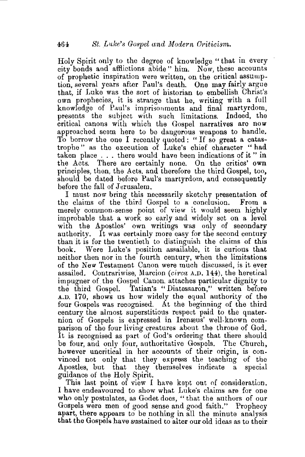Holy Spirit only to the degree of knowledge "that in every city bonds and affiictions abide" him. Now, these accounts of prophetic inspiration were written, on the critical assumption, several years after Paul's death. One may fairly argue that, if Luke was the sort of historian to embellish Christ's own prophecies, it is strange that he, writing with a full knowledge of Paul's imprisonments and final martyrdom, presents the subject with such limitations. Indeed, the critical canons with which the Gospel narratives are now approached seem here to be dangerous weapons to handle. To borrow the one I recently quoted: "If so great a catastrophe" as the execution of Luke's chief character "had taken place ... there would have been indications of it" in the Acts. There are certainly none. On the critics' own principles, then, the Acts, and therefore the third Gospel, too, should be dated before Paul's martyrdom, and consequently before the fall of Jerusalem.

I must now bring this necessarily sketchy presentation of the claims of the third Gospel to a conclusion. From a merely common-sense point of view it would seem highly improbable that a work so early and widely set on a level with the Apostles' own writings was only of secondary authority. It was certainly more easy for the second century than it is for the twentieth to distinguish the claims of this book. Were Luke's position assailable, it is curious that neither then nor in the fourth century, when the limitations of the New Testament Canon were much discussed, *is* it ever assailed. Contrariwise, Marcion *(circa A.D.* 144), the heretical impugner of. the Gospel Canon. attaches particular dignity to the third Gospel. Tatian's "Diatessaron," written before A.D. 170, shows us how widely the equal authority of the four Gospels was recognised. At the beginning of the third century the almost superstitious respect paid to the quaternion of Gospels is expressed in Irenæus' well-known comparison of the four living creatures about the throne of God. It is recognised as part of God's ordering that there should be four, and only four, authoritative Gospels. The Church, however uncritical in her accounts of their origin, is convinced not only that they express the teachmg of the Apostles, but that they themselves indicate a special guidance of the Holy Spirit.

This last point of view I have kept out of consideration. I have endeavoured to show what Luke"s claims are for one who only postulates, as Godet does, "that the authors of our Gospels were men of good sense and good faith." Prophecy apart, there appears to be nothing in all the minute analysis that the Gospels have sustained to alter our old ideas as to their